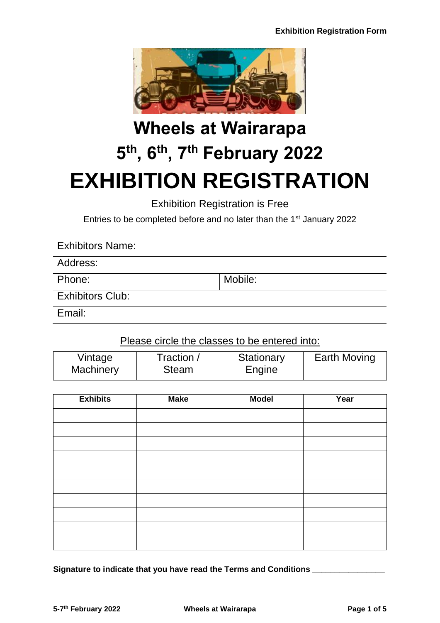

# **Wheels at Wairarapa 5 th, 6th, 7th February 2022 EXHIBITION REGISTRATION**

Exhibition Registration is Free

Entries to be completed before and no later than the 1<sup>st</sup> January 2022

## Exhibitors Name:

Address:

Phone: Mobile: Mobile: Mobile: Mobile: Mobile: Mobile: Mobile: Mobile: Mobile: Mobile: Mobile: Mobile: Mobile:  $\vert$ 

Exhibitors Club:

Email:

# Please circle the classes to be entered into:

| Vintage   | Traction /   | Stationary | <b>Earth Moving</b> |
|-----------|--------------|------------|---------------------|
| Machinery | <b>Steam</b> | Engine     |                     |

| <b>Exhibits</b> | <b>Make</b> | <b>Model</b> | Year |
|-----------------|-------------|--------------|------|
|                 |             |              |      |
|                 |             |              |      |
|                 |             |              |      |
|                 |             |              |      |
|                 |             |              |      |
|                 |             |              |      |
|                 |             |              |      |
|                 |             |              |      |
|                 |             |              |      |
|                 |             |              |      |

**Signature to indicate that you have read the Terms and Conditions \_\_\_\_\_\_\_\_\_\_\_\_\_\_\_\_**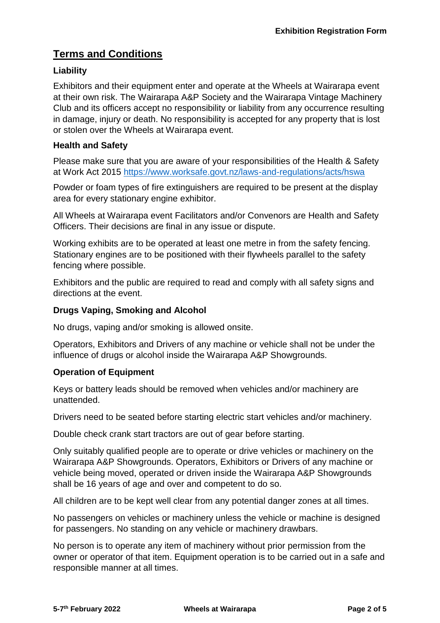# **Terms and Conditions**

### **Liability**

Exhibitors and their equipment enter and operate at the Wheels at Wairarapa event at their own risk. The Wairarapa A&P Society and the Wairarapa Vintage Machinery Club and its officers accept no responsibility or liability from any occurrence resulting in damage, injury or death. No responsibility is accepted for any property that is lost or stolen over the Wheels at Wairarapa event.

#### **Health and Safety**

Please make sure that you are aware of your responsibilities of the Health & Safety at Work Act 2015<https://www.worksafe.govt.nz/laws-and-regulations/acts/hswa>

Powder or foam types of fire extinguishers are required to be present at the display area for every stationary engine exhibitor.

All Wheels at Wairarapa event Facilitators and/or Convenors are Health and Safety Officers. Their decisions are final in any issue or dispute.

Working exhibits are to be operated at least one metre in from the safety fencing. Stationary engines are to be positioned with their flywheels parallel to the safety fencing where possible.

Exhibitors and the public are required to read and comply with all safety signs and directions at the event.

#### **Drugs Vaping, Smoking and Alcohol**

No drugs, vaping and/or smoking is allowed onsite.

Operators, Exhibitors and Drivers of any machine or vehicle shall not be under the influence of drugs or alcohol inside the Wairarapa A&P Showgrounds.

#### **Operation of Equipment**

Keys or battery leads should be removed when vehicles and/or machinery are unattended.

Drivers need to be seated before starting electric start vehicles and/or machinery.

Double check crank start tractors are out of gear before starting.

Only suitably qualified people are to operate or drive vehicles or machinery on the Wairarapa A&P Showgrounds. Operators, Exhibitors or Drivers of any machine or vehicle being moved, operated or driven inside the Wairarapa A&P Showgrounds shall be 16 years of age and over and competent to do so.

All children are to be kept well clear from any potential danger zones at all times.

No passengers on vehicles or machinery unless the vehicle or machine is designed for passengers. No standing on any vehicle or machinery drawbars.

No person is to operate any item of machinery without prior permission from the owner or operator of that item. Equipment operation is to be carried out in a safe and responsible manner at all times.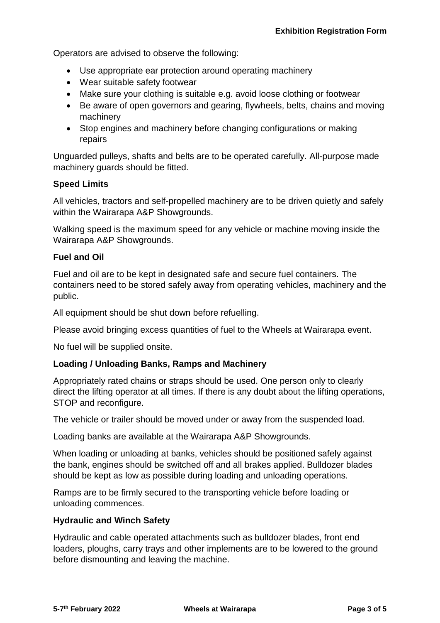Operators are advised to observe the following:

- Use appropriate ear protection around operating machinery
- Wear suitable safety footwear
- Make sure your clothing is suitable e.g. avoid loose clothing or footwear
- Be aware of open governors and gearing, flywheels, belts, chains and moving machinery
- Stop engines and machinery before changing configurations or making repairs

Unguarded pulleys, shafts and belts are to be operated carefully. All-purpose made machinery guards should be fitted.

#### **Speed Limits**

All vehicles, tractors and self-propelled machinery are to be driven quietly and safely within the Wairarapa A&P Showgrounds.

Walking speed is the maximum speed for any vehicle or machine moving inside the Wairarapa A&P Showgrounds.

#### **Fuel and Oil**

Fuel and oil are to be kept in designated safe and secure fuel containers. The containers need to be stored safely away from operating vehicles, machinery and the public.

All equipment should be shut down before refuelling.

Please avoid bringing excess quantities of fuel to the Wheels at Wairarapa event.

No fuel will be supplied onsite.

#### **Loading / Unloading Banks, Ramps and Machinery**

Appropriately rated chains or straps should be used. One person only to clearly direct the lifting operator at all times. If there is any doubt about the lifting operations, STOP and reconfigure.

The vehicle or trailer should be moved under or away from the suspended load.

Loading banks are available at the Wairarapa A&P Showgrounds.

When loading or unloading at banks, vehicles should be positioned safely against the bank, engines should be switched off and all brakes applied. Bulldozer blades should be kept as low as possible during loading and unloading operations.

Ramps are to be firmly secured to the transporting vehicle before loading or unloading commences.

#### **Hydraulic and Winch Safety**

Hydraulic and cable operated attachments such as bulldozer blades, front end loaders, ploughs, carry trays and other implements are to be lowered to the ground before dismounting and leaving the machine.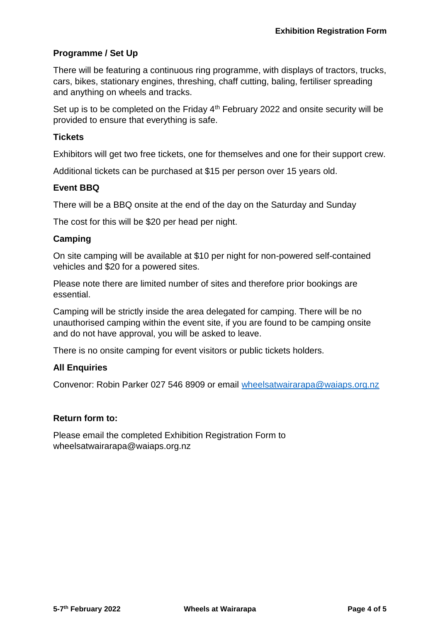#### **Programme / Set Up**

There will be featuring a continuous ring programme, with displays of tractors, trucks, cars, bikes, stationary engines, threshing, chaff cutting, baling, fertiliser spreading and anything on wheels and tracks.

Set up is to be completed on the Friday  $4<sup>th</sup>$  February 2022 and onsite security will be provided to ensure that everything is safe.

#### **Tickets**

Exhibitors will get two free tickets, one for themselves and one for their support crew.

Additional tickets can be purchased at \$15 per person over 15 years old.

#### **Event BBQ**

There will be a BBQ onsite at the end of the day on the Saturday and Sunday

The cost for this will be \$20 per head per night.

#### **Camping**

On site camping will be available at \$10 per night for non-powered self-contained vehicles and \$20 for a powered sites.

Please note there are limited number of sites and therefore prior bookings are essential.

Camping will be strictly inside the area delegated for camping. There will be no unauthorised camping within the event site, if you are found to be camping onsite and do not have approval, you will be asked to leave.

There is no onsite camping for event visitors or public tickets holders.

#### **All Enquiries**

Convenor: Robin Parker 027 546 8909 or email [wheelsatwairarapa@waiaps.org.nz](mailto:wheelsatwairarapa@waiaps.org.nz)

#### **Return form to:**

Please email the completed Exhibition Registration Form to wheelsatwairarapa@waiaps.org.nz